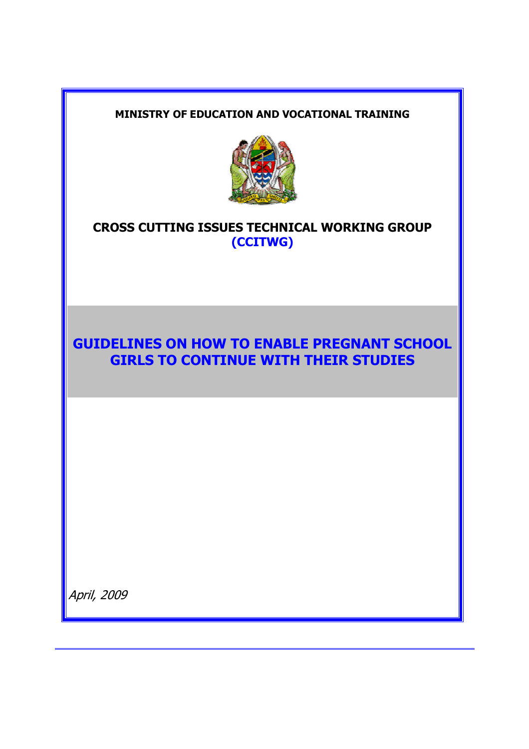#### **MINISTRY OF EDUCATION AND VOCATIONAL TRAINING**



## **CROSS CUTTING ISSUES TECHNICAL WORKING GROUP (CCITWG)**

# **GUIDELINES ON HOW TO ENABLE PREGNANT SCHOOL GIRLS TO CONTINUE WITH THEIR STUDIES**

April, 2009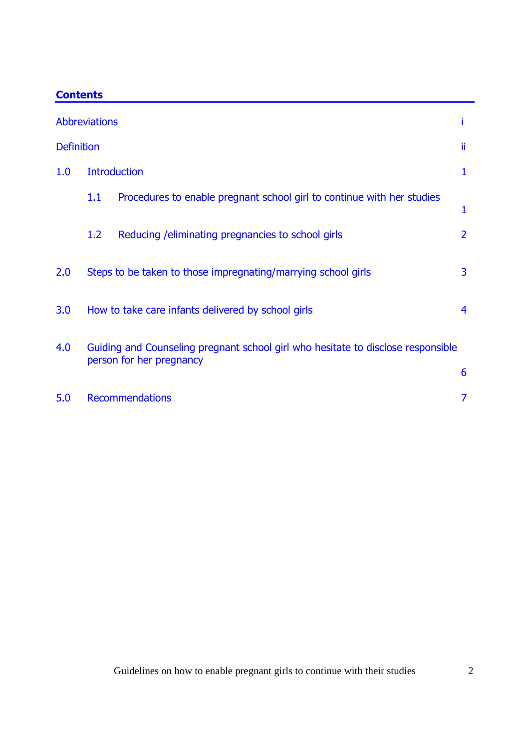| :onten |
|--------|
|--------|

| <b>Abbreviations</b> |                                                                                                              |                                                                        |                |  |  |  |
|----------------------|--------------------------------------------------------------------------------------------------------------|------------------------------------------------------------------------|----------------|--|--|--|
| <b>Definition</b>    |                                                                                                              |                                                                        |                |  |  |  |
| 1.0                  | <b>Introduction</b>                                                                                          |                                                                        |                |  |  |  |
|                      | 1.1                                                                                                          | Procedures to enable pregnant school girl to continue with her studies | 1              |  |  |  |
|                      | 1.2                                                                                                          | Reducing / eliminating pregnancies to school girls                     | $\overline{2}$ |  |  |  |
| 2.0                  |                                                                                                              | Steps to be taken to those impregnating/marrying school girls          | 3              |  |  |  |
| 3.0                  | How to take care infants delivered by school girls                                                           |                                                                        |                |  |  |  |
| 4.0                  | Guiding and Counseling pregnant school girl who hesitate to disclose responsible<br>person for her pregnancy |                                                                        |                |  |  |  |
|                      |                                                                                                              |                                                                        |                |  |  |  |
| 5.0                  | <b>Recommendations</b>                                                                                       |                                                                        |                |  |  |  |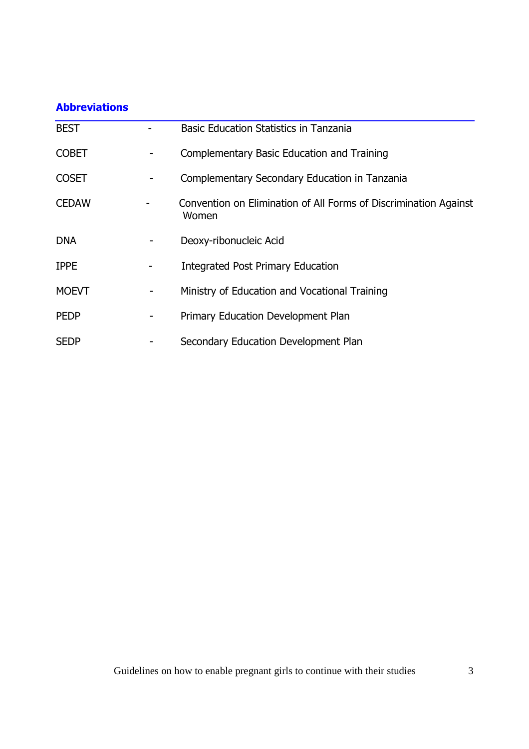## **Abbreviations**

| <b>BEST</b>  | <b>Basic Education Statistics in Tanzania</b>                             |
|--------------|---------------------------------------------------------------------------|
| <b>COBET</b> | Complementary Basic Education and Training                                |
| <b>COSET</b> | Complementary Secondary Education in Tanzania                             |
| <b>CEDAW</b> | Convention on Elimination of All Forms of Discrimination Against<br>Women |
| <b>DNA</b>   | Deoxy-ribonucleic Acid                                                    |
| <b>IPPE</b>  | <b>Integrated Post Primary Education</b>                                  |
| <b>MOEVT</b> | Ministry of Education and Vocational Training                             |
| <b>PEDP</b>  | Primary Education Development Plan                                        |
| <b>SEDP</b>  | Secondary Education Development Plan                                      |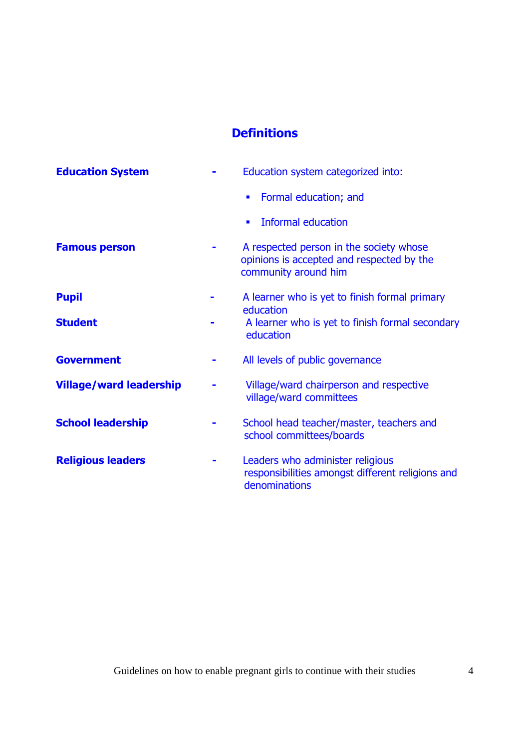## **Definitions**

| <b>Education System</b>        | Education system categorized into:                                                                           |
|--------------------------------|--------------------------------------------------------------------------------------------------------------|
|                                | Formal education; and<br>п                                                                                   |
|                                | Informal education<br>п                                                                                      |
| <b>Famous person</b>           | A respected person in the society whose<br>opinions is accepted and respected by the<br>community around him |
| <b>Pupil</b>                   | A learner who is yet to finish formal primary<br>education                                                   |
| <b>Student</b>                 | A learner who is yet to finish formal secondary<br>education                                                 |
| <b>Government</b>              | All levels of public governance                                                                              |
| <b>Village/ward leadership</b> | Village/ward chairperson and respective<br>village/ward committees                                           |
| <b>School leadership</b>       | School head teacher/master, teachers and<br>school committees/boards                                         |
| <b>Religious leaders</b>       | Leaders who administer religious<br>responsibilities amongst different religions and<br>denominations        |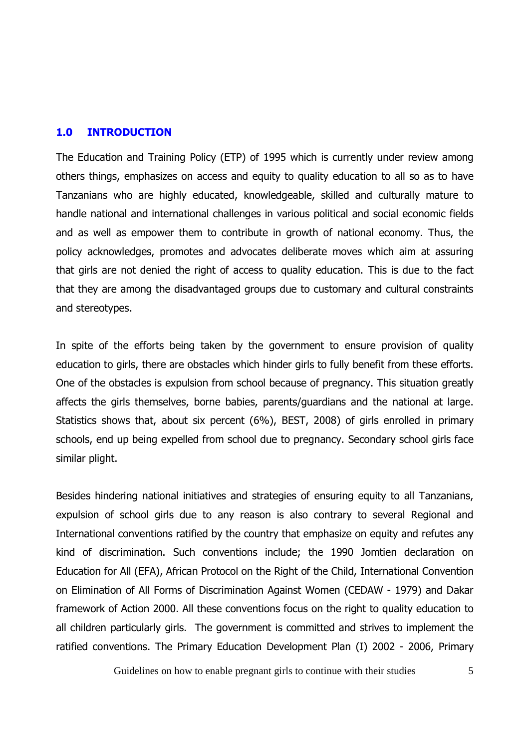#### **1.0 INTRODUCTION**

The Education and Training Policy (ETP) of 1995 which is currently under review among others things, emphasizes on access and equity to quality education to all so as to have Tanzanians who are highly educated, knowledgeable, skilled and culturally mature to handle national and international challenges in various political and social economic fields and as well as empower them to contribute in growth of national economy. Thus, the policy acknowledges, promotes and advocates deliberate moves which aim at assuring that girls are not denied the right of access to quality education. This is due to the fact that they are among the disadvantaged groups due to customary and cultural constraints and stereotypes.

In spite of the efforts being taken by the government to ensure provision of quality education to girls, there are obstacles which hinder girls to fully benefit from these efforts. One of the obstacles is expulsion from school because of pregnancy. This situation greatly affects the girls themselves, borne babies, parents/guardians and the national at large. Statistics shows that, about six percent (6%), BEST, 2008) of girls enrolled in primary schools, end up being expelled from school due to pregnancy. Secondary school girls face similar plight.

Besides hindering national initiatives and strategies of ensuring equity to all Tanzanians, expulsion of school girls due to any reason is also contrary to several Regional and International conventions ratified by the country that emphasize on equity and refutes any kind of discrimination. Such conventions include; the 1990 Jomtien declaration on Education for All (EFA), African Protocol on the Right of the Child, International Convention on Elimination of All Forms of Discrimination Against Women (CEDAW - 1979) and Dakar framework of Action 2000. All these conventions focus on the right to quality education to all children particularly girls. The government is committed and strives to implement the ratified conventions. The Primary Education Development Plan (I) 2002 - 2006, Primary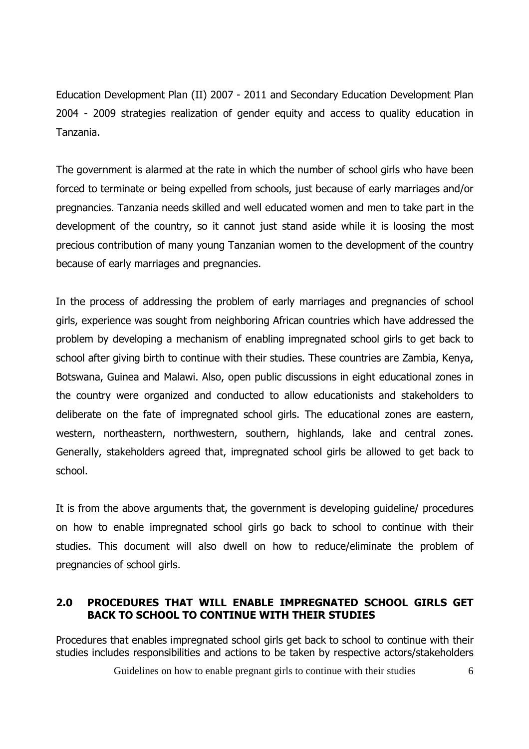Education Development Plan (II) 2007 - 2011 and Secondary Education Development Plan 2004 - 2009 strategies realization of gender equity and access to quality education in Tanzania.

The government is alarmed at the rate in which the number of school girls who have been forced to terminate or being expelled from schools, just because of early marriages and/or pregnancies. Tanzania needs skilled and well educated women and men to take part in the development of the country, so it cannot just stand aside while it is loosing the most precious contribution of many young Tanzanian women to the development of the country because of early marriages and pregnancies.

In the process of addressing the problem of early marriages and pregnancies of school girls, experience was sought from neighboring African countries which have addressed the problem by developing a mechanism of enabling impregnated school girls to get back to school after giving birth to continue with their studies. These countries are Zambia, Kenya, Botswana, Guinea and Malawi. Also, open public discussions in eight educational zones in the country were organized and conducted to allow educationists and stakeholders to deliberate on the fate of impregnated school girls. The educational zones are eastern, western, northeastern, northwestern, southern, highlands, lake and central zones. Generally, stakeholders agreed that, impregnated school girls be allowed to get back to school.

It is from the above arguments that, the government is developing guideline/ procedures on how to enable impregnated school girls go back to school to continue with their studies. This document will also dwell on how to reduce/eliminate the problem of pregnancies of school girls.

## **2.0 PROCEDURES THAT WILL ENABLE IMPREGNATED SCHOOL GIRLS GET BACK TO SCHOOL TO CONTINUE WITH THEIR STUDIES**

Procedures that enables impregnated school girls get back to school to continue with their studies includes responsibilities and actions to be taken by respective actors/stakeholders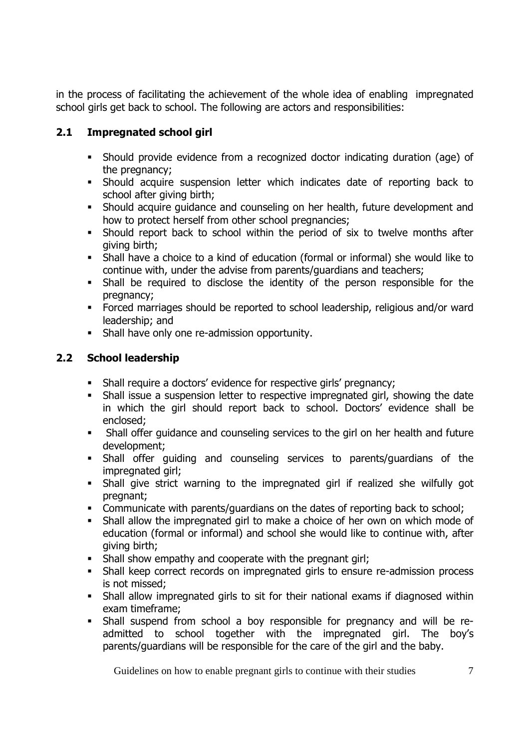in the process of facilitating the achievement of the whole idea of enabling impregnated school girls get back to school. The following are actors and responsibilities:

## **2.1 Impregnated school girl**

- Should provide evidence from a recognized doctor indicating duration (age) of the pregnancy;
- Should acquire suspension letter which indicates date of reporting back to school after giving birth;
- Should acquire guidance and counseling on her health, future development and how to protect herself from other school pregnancies;
- Should report back to school within the period of six to twelve months after giving birth;
- Shall have a choice to a kind of education (formal or informal) she would like to continue with, under the advise from parents/guardians and teachers;
- Shall be required to disclose the identity of the person responsible for the pregnancy;
- Forced marriages should be reported to school leadership, religious and/or ward leadership; and
- **Shall have only one re-admission opportunity.**

## **2.2 School leadership**

- Shall require a doctors' evidence for respective girls' pregnancy;
- Shall issue a suspension letter to respective impregnated girl, showing the date in which the girl should report back to school. Doctors' evidence shall be enclosed;
- Shall offer guidance and counseling services to the girl on her health and future development;
- Shall offer guiding and counseling services to parents/guardians of the impregnated girl;
- Shall give strict warning to the impregnated girl if realized she wilfully got pregnant;
- Communicate with parents/guardians on the dates of reporting back to school;
- Shall allow the impregnated girl to make a choice of her own on which mode of education (formal or informal) and school she would like to continue with, after giving birth;
- Shall show empathy and cooperate with the pregnant girl;
- Shall keep correct records on impregnated girls to ensure re-admission process is not missed;
- Shall allow impregnated girls to sit for their national exams if diagnosed within exam timeframe;
- Shall suspend from school a boy responsible for pregnancy and will be readmitted to school together with the impregnated girl. The boy's parents/guardians will be responsible for the care of the girl and the baby.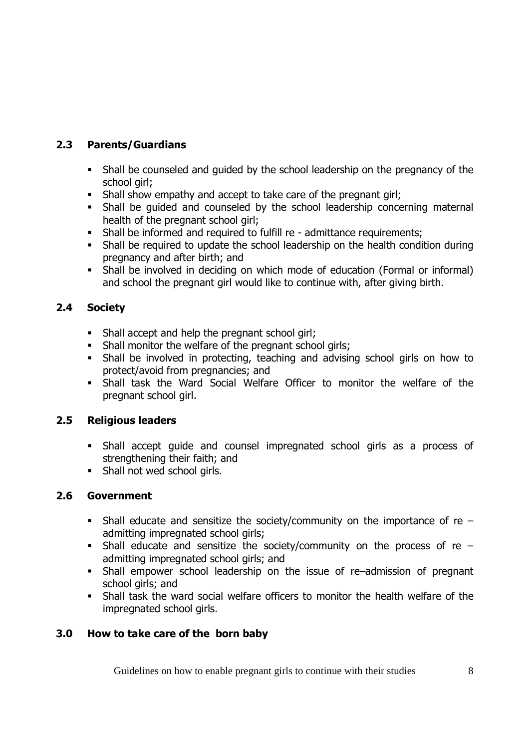## **2.3 Parents/Guardians**

- Shall be counseled and guided by the school leadership on the pregnancy of the school girl;
- Shall show empathy and accept to take care of the pregnant girl;
- Shall be guided and counseled by the school leadership concerning maternal health of the pregnant school girl;
- Shall be informed and required to fulfill re admittance requirements;
- Shall be required to update the school leadership on the health condition during pregnancy and after birth; and
- Shall be involved in deciding on which mode of education (Formal or informal) and school the pregnant girl would like to continue with, after giving birth.

## **2.4 Society**

- Shall accept and help the pregnant school girl;
- Shall monitor the welfare of the pregnant school girls;
- Shall be involved in protecting, teaching and advising school girls on how to protect/avoid from pregnancies; and
- Shall task the Ward Social Welfare Officer to monitor the welfare of the pregnant school girl.

## **2.5 Religious leaders**

- Shall accept guide and counsel impregnated school girls as a process of strengthening their faith; and
- **Shall not wed school girls.**

## **2.6 Government**

- Shall educate and sensitize the society/community on the importance of re admitting impregnated school girls;
- Shall educate and sensitize the society/community on the process of re  $$ admitting impregnated school girls; and
- Shall empower school leadership on the issue of re–admission of pregnant school girls; and
- Shall task the ward social welfare officers to monitor the health welfare of the impregnated school girls.

## **3.0 How to take care of the born baby**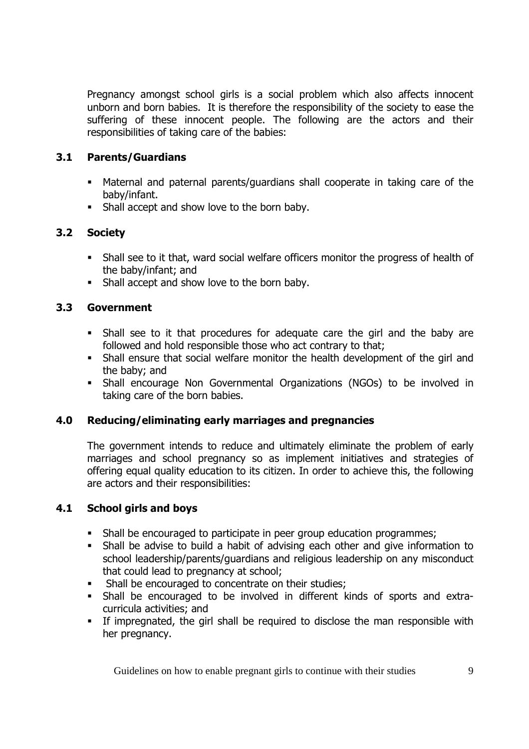Pregnancy amongst school girls is a social problem which also affects innocent unborn and born babies. It is therefore the responsibility of the society to ease the suffering of these innocent people. The following are the actors and their responsibilities of taking care of the babies:

### **3.1 Parents/Guardians**

- Maternal and paternal parents/guardians shall cooperate in taking care of the baby/infant.
- **Shall accept and show love to the born baby.**

## **3.2 Society**

- Shall see to it that, ward social welfare officers monitor the progress of health of the baby/infant; and
- **Shall accept and show love to the born baby.**

## **3.3 Government**

- Shall see to it that procedures for adequate care the girl and the baby are followed and hold responsible those who act contrary to that;
- Shall ensure that social welfare monitor the health development of the girl and the baby; and
- Shall encourage Non Governmental Organizations (NGOs) to be involved in taking care of the born babies.

### **4.0 Reducing/eliminating early marriages and pregnancies**

The government intends to reduce and ultimately eliminate the problem of early marriages and school pregnancy so as implement initiatives and strategies of offering equal quality education to its citizen. In order to achieve this, the following are actors and their responsibilities:

### **4.1 School girls and boys**

- Shall be encouraged to participate in peer group education programmes;
- Shall be advise to build a habit of advising each other and give information to school leadership/parents/guardians and religious leadership on any misconduct that could lead to pregnancy at school;
- **Shall be encouraged to concentrate on their studies:**
- Shall be encouraged to be involved in different kinds of sports and extracurricula activities; and
- If impregnated, the girl shall be required to disclose the man responsible with her pregnancy.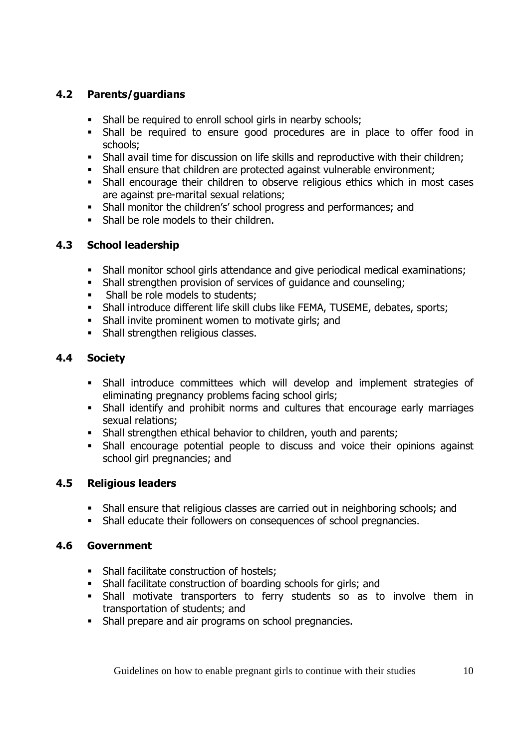## **4.2 Parents/guardians**

- Shall be required to enroll school girls in nearby schools;
- Shall be required to ensure good procedures are in place to offer food in schools;
- Shall avail time for discussion on life skills and reproductive with their children;
- Shall ensure that children are protected against vulnerable environment;
- Shall encourage their children to observe religious ethics which in most cases are against pre-marital sexual relations;
- Shall monitor the children's' school progress and performances; and
- **Shall be role models to their children.**

#### **4.3 School leadership**

- Shall monitor school girls attendance and give periodical medical examinations;
- Shall strengthen provision of services of guidance and counseling;
- Shall be role models to students;
- Shall introduce different life skill clubs like FEMA, TUSEME, debates, sports;
- Shall invite prominent women to motivate girls; and
- Shall strengthen religious classes.

### **4.4 Society**

- Shall introduce committees which will develop and implement strategies of eliminating pregnancy problems facing school girls;
- Shall identify and prohibit norms and cultures that encourage early marriages sexual relations;
- Shall strengthen ethical behavior to children, youth and parents;
- Shall encourage potential people to discuss and voice their opinions against school girl pregnancies; and

#### **4.5 Religious leaders**

- Shall ensure that religious classes are carried out in neighboring schools; and
- Shall educate their followers on consequences of school pregnancies.

#### **4.6 Government**

- Shall facilitate construction of hostels:
- Shall facilitate construction of boarding schools for girls; and
- Shall motivate transporters to ferry students so as to involve them in transportation of students; and
- Shall prepare and air programs on school pregnancies.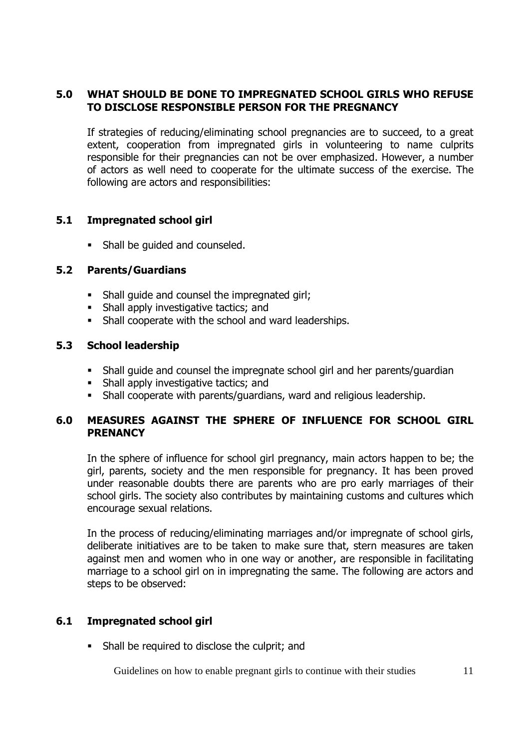#### **5.0 WHAT SHOULD BE DONE TO IMPREGNATED SCHOOL GIRLS WHO REFUSE TO DISCLOSE RESPONSIBLE PERSON FOR THE PREGNANCY**

If strategies of reducing/eliminating school pregnancies are to succeed, to a great extent, cooperation from impregnated girls in volunteering to name culprits responsible for their pregnancies can not be over emphasized. However, a number of actors as well need to cooperate for the ultimate success of the exercise. The following are actors and responsibilities:

#### **5.1 Impregnated school girl**

• Shall be quided and counseled.

#### **5.2 Parents/Guardians**

- Shall guide and counsel the impregnated girl;
- Shall apply investigative tactics; and
- Shall cooperate with the school and ward leaderships.

#### **5.3 School leadership**

- Shall guide and counsel the impregnate school girl and her parents/guardian
- Shall apply investigative tactics; and
- Shall cooperate with parents/guardians, ward and religious leadership.

#### **6.0 MEASURES AGAINST THE SPHERE OF INFLUENCE FOR SCHOOL GIRL PRENANCY**

In the sphere of influence for school girl pregnancy, main actors happen to be; the girl, parents, society and the men responsible for pregnancy. It has been proved under reasonable doubts there are parents who are pro early marriages of their school girls. The society also contributes by maintaining customs and cultures which encourage sexual relations.

In the process of reducing/eliminating marriages and/or impregnate of school girls, deliberate initiatives are to be taken to make sure that, stern measures are taken against men and women who in one way or another, are responsible in facilitating marriage to a school girl on in impregnating the same. The following are actors and steps to be observed:

### **6.1 Impregnated school girl**

Shall be required to disclose the culprit; and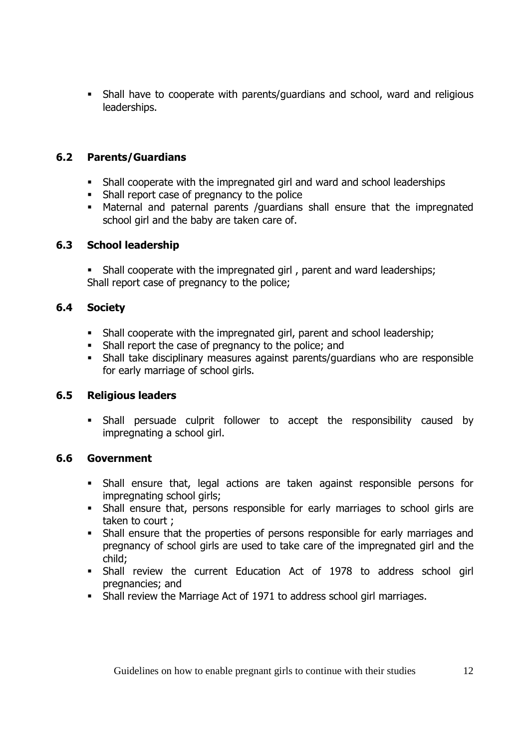Shall have to cooperate with parents/guardians and school, ward and religious leaderships.

## **6.2 Parents/Guardians**

- Shall cooperate with the impregnated girl and ward and school leaderships
- Shall report case of pregnancy to the police
- Maternal and paternal parents /guardians shall ensure that the impregnated school girl and the baby are taken care of.

## **6.3 School leadership**

• Shall cooperate with the impregnated girl, parent and ward leaderships; Shall report case of pregnancy to the police;

## **6.4 Society**

- Shall cooperate with the impregnated girl, parent and school leadership;
- Shall report the case of pregnancy to the police; and
- Shall take disciplinary measures against parents/guardians who are responsible for early marriage of school girls.

## **6.5 Religious leaders**

 Shall persuade culprit follower to accept the responsibility caused by impregnating a school girl.

### **6.6 Government**

- Shall ensure that, legal actions are taken against responsible persons for impregnating school girls;
- Shall ensure that, persons responsible for early marriages to school girls are taken to court ;
- Shall ensure that the properties of persons responsible for early marriages and pregnancy of school girls are used to take care of the impregnated girl and the child;
- Shall review the current Education Act of 1978 to address school girl pregnancies; and
- Shall review the Marriage Act of 1971 to address school girl marriages.